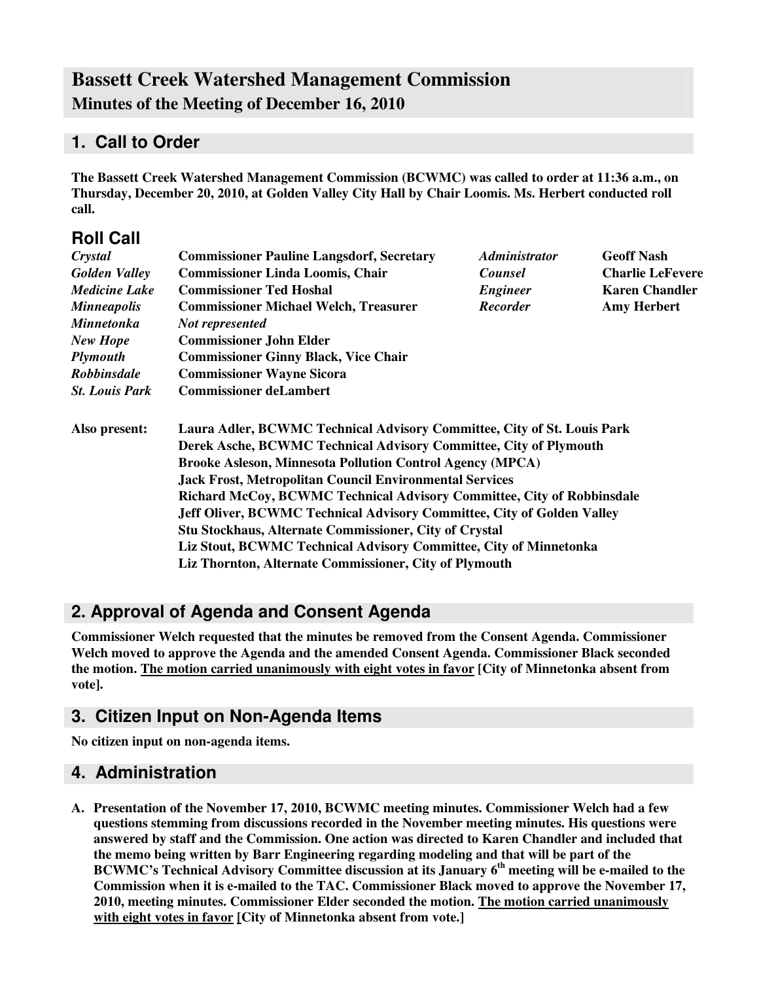# **Bassett Creek Watershed Management Commission Minutes of the Meeting of December 16, 2010**

# **1. Call to Order**

**Roll Call**

**The Bassett Creek Watershed Management Commission (BCWMC) was called to order at 11:36 a.m., on Thursday, December 20, 2010, at Golden Valley City Hall by Chair Loomis. Ms. Herbert conducted roll call.**

| ROIL CAIL             |                                                                                                                                                                                                                                  |                             |                         |  |                                                                   |  |  |  |
|-----------------------|----------------------------------------------------------------------------------------------------------------------------------------------------------------------------------------------------------------------------------|-----------------------------|-------------------------|--|-------------------------------------------------------------------|--|--|--|
| Crystal               | <b>Commissioner Pauline Langsdorf, Secretary</b>                                                                                                                                                                                 | <i><b>Administrator</b></i> | <b>Geoff Nash</b>       |  |                                                                   |  |  |  |
| <b>Golden Valley</b>  | <b>Commissioner Linda Loomis, Chair</b>                                                                                                                                                                                          | <b>Counsel</b>              | <b>Charlie LeFevere</b> |  |                                                                   |  |  |  |
| <b>Medicine Lake</b>  | <b>Commissioner Ted Hoshal</b>                                                                                                                                                                                                   | <b>Engineer</b>             | <b>Karen Chandler</b>   |  |                                                                   |  |  |  |
| <b>Minneapolis</b>    | <b>Commissioner Michael Welch, Treasurer</b>                                                                                                                                                                                     | <b>Recorder</b>             | <b>Amy Herbert</b>      |  |                                                                   |  |  |  |
| <b>Minnetonka</b>     | Not represented                                                                                                                                                                                                                  |                             |                         |  |                                                                   |  |  |  |
| <b>New Hope</b>       | <b>Commissioner John Elder</b>                                                                                                                                                                                                   |                             |                         |  |                                                                   |  |  |  |
| <b>Plymouth</b>       | <b>Commissioner Ginny Black, Vice Chair</b>                                                                                                                                                                                      |                             |                         |  |                                                                   |  |  |  |
| <b>Robbinsdale</b>    | <b>Commissioner Wayne Sicora</b>                                                                                                                                                                                                 |                             |                         |  |                                                                   |  |  |  |
| <b>St. Louis Park</b> | <b>Commissioner deLambert</b>                                                                                                                                                                                                    |                             |                         |  |                                                                   |  |  |  |
| Also present:         | Laura Adler, BCWMC Technical Advisory Committee, City of St. Louis Park                                                                                                                                                          |                             |                         |  |                                                                   |  |  |  |
|                       | Derek Asche, BCWMC Technical Advisory Committee, City of Plymouth                                                                                                                                                                |                             |                         |  |                                                                   |  |  |  |
|                       | <b>Brooke Asleson, Minnesota Pollution Control Agency (MPCA)</b>                                                                                                                                                                 |                             |                         |  |                                                                   |  |  |  |
|                       | <b>Jack Frost, Metropolitan Council Environmental Services</b><br><b>Richard McCoy, BCWMC Technical Advisory Committee, City of Robbinsdale</b><br><b>Jeff Oliver, BCWMC Technical Advisory Committee, City of Golden Valley</b> |                             |                         |  |                                                                   |  |  |  |
|                       |                                                                                                                                                                                                                                  |                             |                         |  | <b>Stu Stockhaus, Alternate Commissioner, City of Crystal</b>     |  |  |  |
|                       |                                                                                                                                                                                                                                  |                             |                         |  | Liz Stout, BCWMC Technical Advisory Committee, City of Minnetonka |  |  |  |
|                       | Liz Thornton, Alternate Commissioner, City of Plymouth                                                                                                                                                                           |                             |                         |  |                                                                   |  |  |  |

# **2. Approval of Agenda and Consent Agenda**

**Commissioner Welch requested that the minutes be removed from the Consent Agenda. Commissioner Welch moved to approve the Agenda and the amended Consent Agenda. Commissioner Black seconded the motion. The motion carried unanimously with eight votes in favor [City of Minnetonka absent from vote].**

# **3. Citizen Input on Non-Agenda Items**

**No citizen input on non-agenda items.**

### **4. Administration**

**A. Presentation of the November 17, 2010, BCWMC meeting minutes. Commissioner Welch had a few questions stemming from discussions recorded in the November meeting minutes. His questions were answered by staff and the Commission. One action was directed to Karen Chandler and included that the memo being written by Barr Engineering regarding modeling and that will be part of the BCWMC's Technical Advisory Committee discussion at its January 6 th meeting will be e-mailed to the Commission when it is e-mailed to the TAC. Commissioner Black moved to approve the November 17, 2010, meeting minutes. Commissioner Elder seconded the motion. The motion carried unanimously with eight votes in favor [City of Minnetonka absent from vote.]**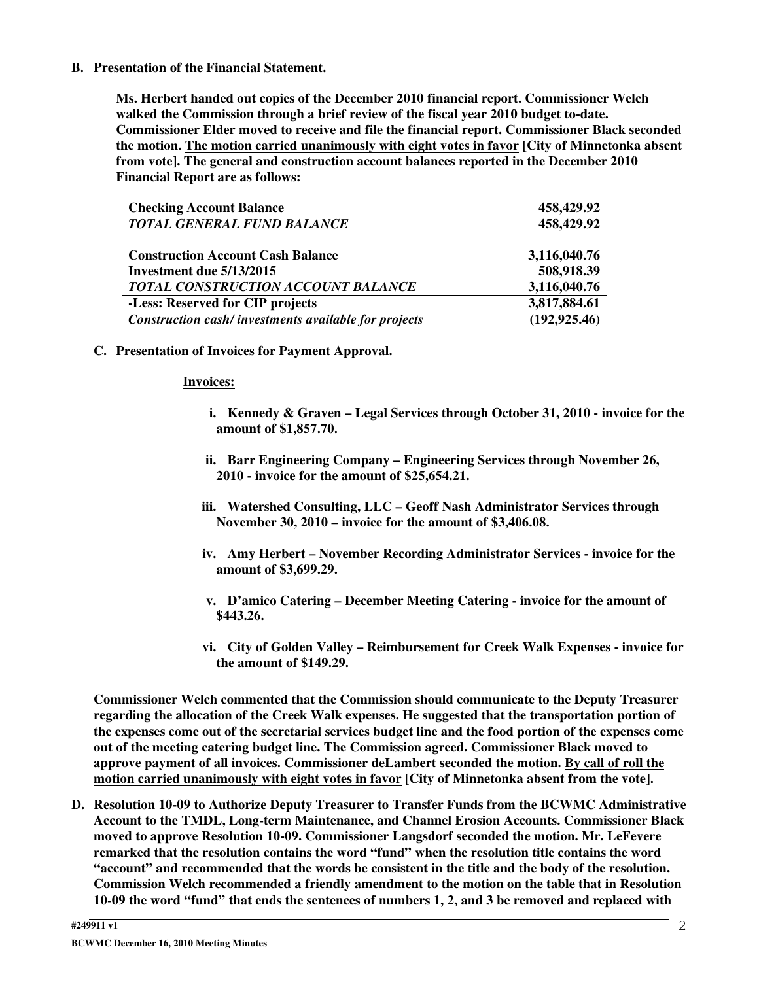**B. Presentation of the Financial Statement.**

**Ms. Herbert handed out copies of the December 2010 financial report. Commissioner Welch walked the Commission through a brief review of the fiscal year 2010 budget to-date. Commissioner Elder moved to receive and file the financial report. Commissioner Black seconded the motion. The motion carried unanimously with eight votes in favor [City of Minnetonka absent from vote]. The general and construction account balances reported in the December 2010 Financial Report are as follows:**

| <b>Checking Account Balance</b>                      | 458,429.92     |
|------------------------------------------------------|----------------|
| <b>TOTAL GENERAL FUND BALANCE</b>                    | 458,429.92     |
|                                                      |                |
| <b>Construction Account Cash Balance</b>             | 3,116,040.76   |
| Investment due 5/13/2015                             | 508,918.39     |
| TOTAL CONSTRUCTION ACCOUNT BALANCE                   | 3,116,040.76   |
| -Less: Reserved for CIP projects                     | 3,817,884.61   |
| Construction cash/investments available for projects | (192, 925, 46) |

**C. Presentation of Invoices for Payment Approval.**

#### **Invoices:**

- **i. Kennedy & Graven – Legal Services through October 31, 2010 - invoice for the amount of \$1,857.70.**
- **ii. Barr Engineering Company – Engineering Services through November 26, 2010 - invoice for the amount of \$25,654.21.**
- **iii. Watershed Consulting, LLC – Geoff Nash Administrator Services through November 30, 2010 – invoice for the amount of \$3,406.08.**
- **iv. Amy Herbert – November Recording Administrator Services - invoice for the amount of \$3,699.29.**
- **v. D'amico Catering – December Meeting Catering - invoice for the amount of \$443.26.**
- **vi. City of Golden Valley – Reimbursement for Creek Walk Expenses - invoice for the amount of \$149.29.**

**Commissioner Welch commented that the Commission should communicate to the Deputy Treasurer regarding the allocation of the Creek Walk expenses. He suggested that the transportation portion of** the expenses come out of the secretarial services budget line and the food portion of the expenses come **out of the meeting catering budget line. The Commission agreed. Commissioner Black moved to approve payment of all invoices. Commissioner deLambert seconded the motion. By call of roll the motion carried unanimously with eight votes in favor [City of Minnetonka absent from the vote].**

**D. Resolution 10-09 to Authorize Deputy Treasurer to Transfer Funds from the BCWMC Administrative Account to the TMDL, Long-term Maintenance, and Channel Erosion Accounts. Commissioner Black moved to approve Resolution 10-09. Commissioner Langsdorf seconded the motion. Mr. LeFevere remarked that the resolution contains the word "fund" when the resolution title contains the word "account" and recommended that the words be consistent in the title and the body of the resolution. Commission Welch recommended a friendly amendment to the motion on the table that in Resolution** 10-09 the word "fund" that ends the sentences of numbers 1, 2, and 3 be removed and replaced with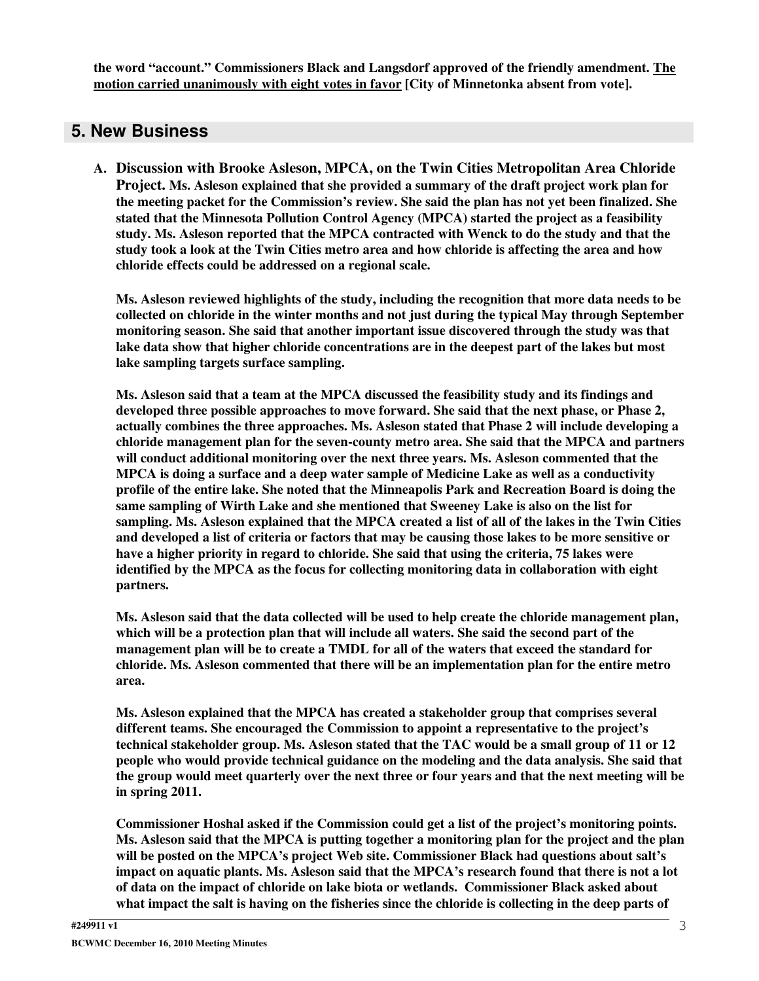**the word "account." Commissioners Black and Langsdorf approved of the friendly amendment. The motion carried unanimously with eight votes in favor [City of Minnetonka absent from vote].**

### **5. New Business**

**A. Discussion with Brooke Asleson, MPCA, on the Twin Cities Metropolitan Area Chloride Project. Ms. Asleson explained that she provided a summary of the draft project work plan for the meeting packet for the Commission's review. She said the plan has not yet been finalized. She stated that the Minnesota Pollution Control Agency (MPCA) started the project as a feasibility study. Ms. Asleson reported that the MPCA contracted with Wenck to do the study and that the** study took a look at the Twin Cities metro area and how chloride is affecting the area and how **chloride effects could be addressed on a regional scale.**

**Ms. Asleson reviewed highlights of the study, including the recognition that more data needs to be collected on chloride in the winter months and not just during the typical May through September monitoring season. She said that another important issue discovered through the study was that lake data show that higher chloride concentrations are in the deepest part of the lakes but most lake sampling targets surface sampling.**

**Ms. Asleson said that a team at the MPCA discussed the feasibility study and its findings and developed three possible approaches to move forward. She said that the next phase, or Phase 2, actually combines the three approaches. Ms. Asleson stated that Phase 2 will include developing a chloride management plan for the seven-county metro area. She said that the MPCA and partners will conduct additional monitoring over the next three years. Ms. Asleson commented that the MPCA is doing a surface and a deep water sample of Medicine Lake as well as a conductivity profile of the entire lake. She noted that the Minneapolis Park and Recreation Board is doing the same sampling of Wirth Lake and she mentioned that Sweeney Lake is also on the list for** sampling. Ms. Asleson explained that the MPCA created a list of all of the lakes in the Twin Cities and developed a list of criteria or factors that may be causing those lakes to be more sensitive or **have a higher priority in regard to chloride. She said that using the criteria, 75 lakes were identified by the MPCA as the focus for collecting monitoring data in collaboration with eight partners.**

**Ms. Asleson said that the data collected will be used to help create the chloride management plan, which will be a protection plan that will include all waters. She said the second part of the management plan will be to create a TMDL for all of the waters that exceed the standard for chloride. Ms. Asleson commented that there will be an implementation plan for the entire metro area.**

**Ms. Asleson explained that the MPCA has created a stakeholder group that comprises several different teams. She encouraged the Commission to appoint a representative to the project's technical stakeholder group. Ms. Asleson stated that the TAC would be a small group of 11 or 12 people who would provide technical guidance on the modeling and the data analysis. She said that** the group would meet quarterly over the next three or four years and that the next meeting will be **in spring 2011.**

**Commissioner Hoshal asked if the Commission could get a list of the project's monitoring points. Ms. Asleson said that the MPCA is putting together a monitoring plan for the project and the plan will be posted on the MPCA's project Web site. Commissioner Black had questions about salt's impact on aquatic plants. Ms. Asleson said that the MPCA's research found that there is not a lot of data on the impact of chloride on lake biota or wetlands. Commissioner Black asked about** what impact the salt is having on the fisheries since the chloride is collecting in the deep parts of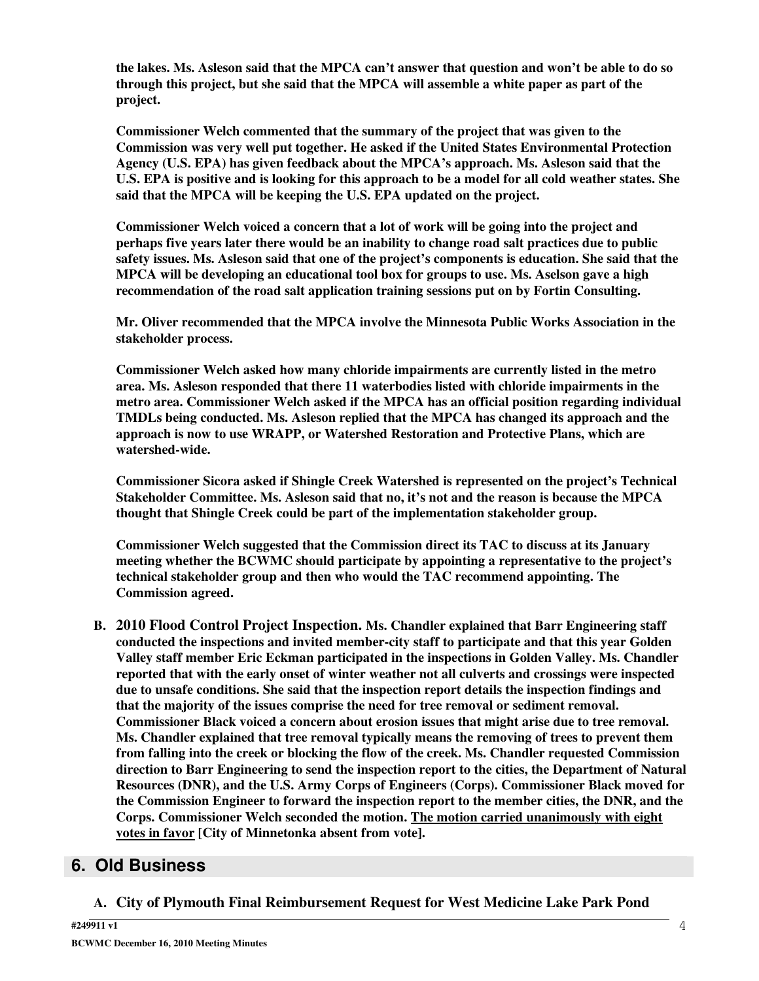the lakes. Ms. Asleson said that the MPCA can't answer that question and won't be able to do so **through this project, but she said that the MPCA will assemble a white paper as part of the project.**

**Commissioner Welch commented that the summary of the project that was given to the Commission was very well put together. He asked if the United States Environmental Protection Agency (U.S. EPA) has given feedback about the MPCA's approach. Ms. Asleson said that the** U.S. EPA is positive and is looking for this approach to be a model for all cold weather states. She **said that the MPCA will be keeping the U.S. EPA updated on the project.**

**Commissioner Welch voiced a concern that a lot of work will be going into the project and perhaps five years later there would be an inability to change road salt practices due to public safety issues. Ms. Asleson said that one of the project's components is education. She said that the MPCA will be developing an educational tool box for groups to use. Ms. Aselson gave a high recommendation of the road salt application training sessions put on by Fortin Consulting.**

**Mr. Oliver recommended that the MPCA involve the Minnesota Public Works Association in the stakeholder process.**

**Commissioner Welch asked how many chloride impairments are currently listed in the metro area. Ms. Asleson responded that there 11 waterbodies listed with chloride impairments in the metro area. Commissioner Welch asked if the MPCA has an official position regarding individual TMDLs being conducted. Ms. Asleson replied that the MPCA has changed its approach and the approach is now to use WRAPP, or Watershed Restoration and Protective Plans, which are watershed-wide.**

**Commissioner Sicora asked if Shingle Creek Watershed is represented on the project's Technical Stakeholder Committee. Ms. Asleson said that no, it's not and the reason is because the MPCA thought that Shingle Creek could be part of the implementation stakeholder group.**

**Commissioner Welch suggested that the Commission direct its TAC to discuss at its January meeting whether the BCWMC should participate by appointing a representative to the project's technical stakeholder group and then who would the TAC recommend appointing. The Commission agreed.**

**B. 2010 Flood Control Project Inspection. Ms. Chandler explained that Barr Engineering staff conducted the inspections and invited member-city staff to participate and that this year Golden Valley staff member Eric Eckman participated in the inspections in Golden Valley. Ms. Chandler reported that with the early onset of winter weather not all culverts and crossings were inspected due to unsafe conditions. She said that the inspection report details the inspection findings and that the majority of the issues comprise the need for tree removal or sediment removal. Commissioner Black voiced a concern about erosion issues that might arise due to tree removal. Ms. Chandler explained that tree removal typically means the removing of trees to prevent them from falling into the creek or blocking the flow of the creek. Ms. Chandler requested Commission direction to Barr Engineering to send the inspection report to the cities, the Department of Natural Resources (DNR), and the U.S. Army Corps of Engineers (Corps). Commissioner Black moved for the Commission Engineer to forward the inspection report to the member cities, the DNR, and the Corps. Commissioner Welch seconded the motion. The motion carried unanimously with eight votes in favor [City of Minnetonka absent from vote].**

# **6. Old Business**

**A. City of Plymouth Final Reimbursement Request for West Medicine Lake Park Pond**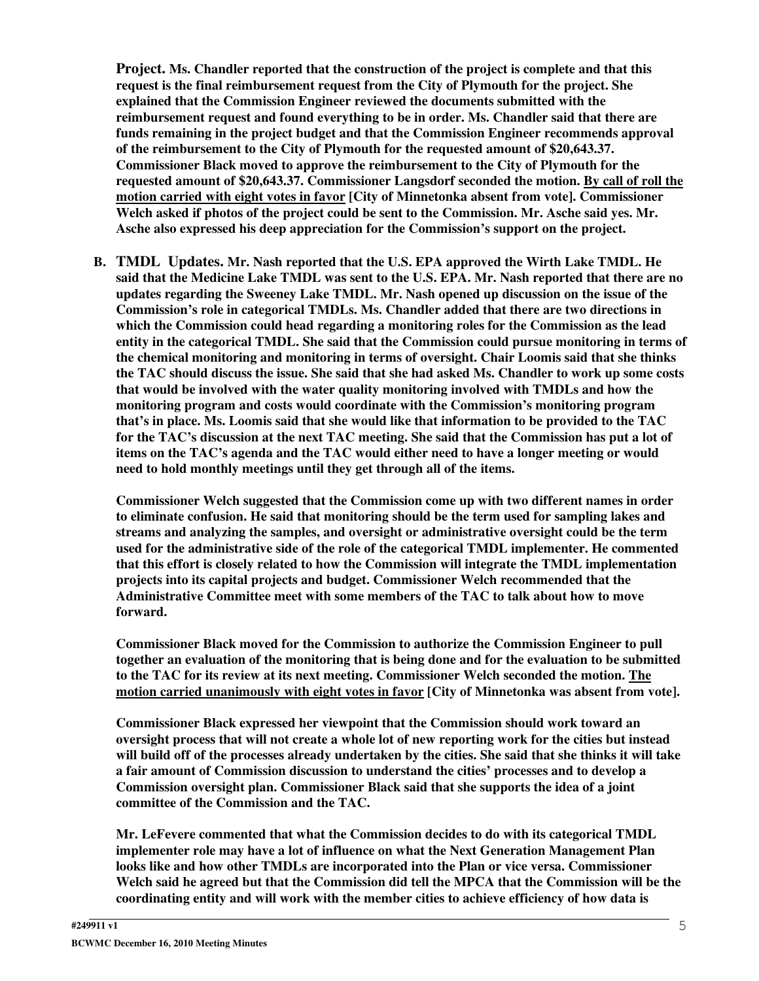**Project. Ms. Chandler reported that the construction of the project is complete and that this request is the final reimbursement request from the City of Plymouth for the project. She explained that the Commission Engineer reviewed the documents submitted with the reimbursement request and found everything to be in order. Ms. Chandler said that there are funds remaining in the project budget and that the Commission Engineer recommends approval of the reimbursement to the City of Plymouth for the requested amount of \$20,643.37. Commissioner Black moved to approve the reimbursement to the City of Plymouth for the requested amount of \$20,643.37. Commissioner Langsdorf seconded the motion. By call of roll the motion carried with eight votes in favor [City of Minnetonka absent from vote]. Commissioner Welch asked if photos of the project could be sent to the Commission. Mr. Asche said yes. Mr. Asche also expressed his deep appreciation for the Commission's support on the project.**

**B. TMDL Updates. Mr. Nash reported that the U.S. EPA approved the Wirth Lake TMDL. He** said that the Medicine Lake TMDL was sent to the U.S. EPA. Mr. Nash reported that there are no **updates regarding the Sweeney Lake TMDL. Mr. Nash opened up discussion on the issue of the Commission's role in categorical TMDLs. Ms. Chandler added that there are two directions in which the Commission could head regarding a monitoring roles for the Commission as the lead entity in the categorical TMDL. She said that the Commission could pursue monitoring in terms of the chemical monitoring and monitoring in terms of oversight. Chair Loomis said that she thinks** the TAC should discuss the issue. She said that she had asked Ms. Chandler to work up some costs **that would be involved with the water quality monitoring involved with TMDLs and how the monitoring program and costs would coordinate with the Commission's monitoring program that's in place. Ms. Loomis said that she would like that information to be provided to the TAC** for the TAC's discussion at the next TAC meeting. She said that the Commission has put a lot of **items on the TAC's agenda and the TAC would either need to have a longer meeting or would need to hold monthly meetings until they get through all of the items.**

**Commissioner Welch suggested that the Commission come up with two different names in order to eliminate confusion. He said that monitoring should be the term used for sampling lakes and streams and analyzing the samples, and oversight or administrative oversight could be the term used for the administrative side of the role of the categorical TMDL implementer. He commented that this effort is closely related to how the Commission will integrate the TMDL implementation projects into its capital projects and budget. Commissioner Welch recommended that the Administrative Committee meet with some members of the TAC to talk about how to move forward.**

**Commissioner Black moved for the Commission to authorize the Commission Engineer to pull together an evaluation of the monitoring that is being done and for the evaluation to be submitted to the TAC for its review at its next meeting. Commissioner Welch seconded the motion. The motion carried unanimously with eight votes in favor [City of Minnetonka was absent from vote].**

**Commissioner Black expressed her viewpoint that the Commission should work toward an** oversight process that will not create a whole lot of new reporting work for the cities but instead will build off of the processes already undertaken by the cities. She said that she thinks it will take **a fair amount of Commission discussion to understand the cities' processes and to develop a Commission oversight plan. Commissioner Black said that she supports the idea of a joint committee of the Commission and the TAC.**

**Mr. LeFevere commented that what the Commission decides to do with its categorical TMDL implementer role may have a lot of influence on what the Next Generation Management Plan looks like and how other TMDLs are incorporated into the Plan or vice versa. Commissioner Welch said he agreed but that the Commission did tell the MPCA that the Commission will be the coordinating entity and will work with the member cities to achieve efficiency of how data is**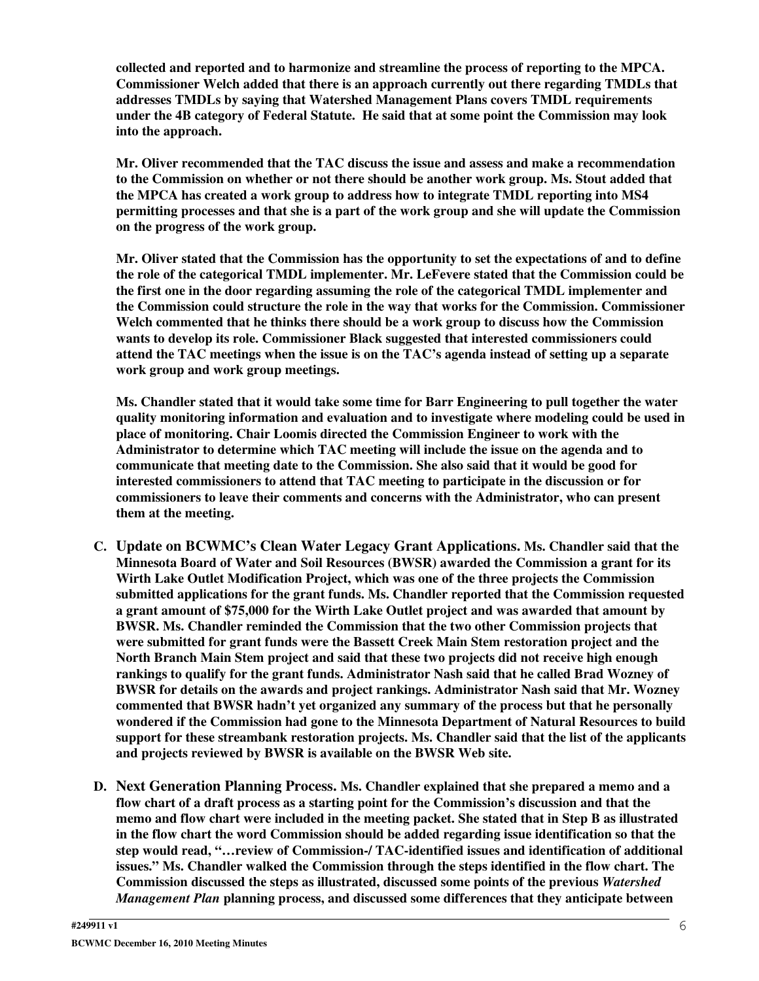**collected and reported and to harmonize and streamline the process of reporting to the MPCA. Commissioner Welch added that there is an approach currently out there regarding TMDLs that addresses TMDLs by saying that Watershed Management Plans covers TMDL requirements under the 4B category of Federal Statute. He said that at some point the Commission may look into the approach.**

**Mr. Oliver recommended that the TAC discuss the issue and assess and make a recommendation to the Commission on whether or not there should be another work group. Ms. Stout added that the MPCA has created a work group to address how to integrate TMDL reporting into MS4 permitting processes and that she is a part of the work group and she will update the Commission on the progress of the work group.**

**Mr. Oliver stated that the Commission has the opportunity to set the expectations of and to define the role of the categorical TMDL implementer. Mr. LeFevere stated that the Commission could be the first one in the door regarding assuming the role of the categorical TMDL implementer and the Commission could structure the role in the way that works for the Commission. Commissioner Welch commented that he thinks there should be a work group to discuss how the Commission wants to develop its role. Commissioner Black suggested that interested commissioners could attend the TAC meetings when the issue is on the TAC's agenda instead of setting up a separate work group and work group meetings.**

**Ms. Chandler stated that it would take some time for Barr Engineering to pull together the water quality monitoring information and evaluation and to investigate where modeling could be used in place of monitoring. Chair Loomis directed the Commission Engineer to work with the Administrator to determine which TAC meeting will include the issue on the agenda and to communicate that meeting date to the Commission. She also said that it would be good for interested commissioners to attend that TAC meeting to participate in the discussion or for commissioners to leave their comments and concerns with the Administrator, who can present them at the meeting.**

- **C. Update on BCWMC's Clean Water Legacy Grant Applications. Ms. Chandler said that the Minnesota Board of Water and Soil Resources (BWSR) awarded the Commission a grant for its Wirth Lake Outlet Modification Project, which was one of the three projects the Commission submitted applications for the grant funds. Ms. Chandler reported that the Commission requested a grant amount of \$75,000 for the Wirth Lake Outlet project and was awarded that amount by BWSR. Ms. Chandler reminded the Commission that the two other Commission projects that were submitted for grant funds were the Bassett Creek Main Stem restoration project and the North Branch Main Stem project and said that these two projects did not receive high enough rankings to qualify for the grant funds. Administrator Nash said that he called Brad Wozney of BWSR for details on the awards and project rankings. Administrator Nash said that Mr. Wozney commented that BWSR hadn't yet organized any summary of the process but that he personally wondered if the Commission had gone to the Minnesota Department of Natural Resources to build support for these streambank restoration projects. Ms. Chandler said that the list of the applicants and projects reviewed by BWSR is available on the BWSR Web site.**
- **D. Next Generation Planning Process. Ms. Chandler explained that she prepared a memo and a flow chart of a draft process as a starting point for the Commission's discussion and that the memo and flow chart were included in the meeting packet. She stated that in Step B as illustrated in the flow chart the word Commission should be added regarding issue identification so that the step would read, "…review of Commission-/ TAC-identified issues and identification of additional issues." Ms. Chandler walked the Commission through the steps identified in the flow chart. The Commission discussed the steps as illustrated, discussed some points of the previous** *Watershed Management Plan* **planning process, and discussed some differences that they anticipate between**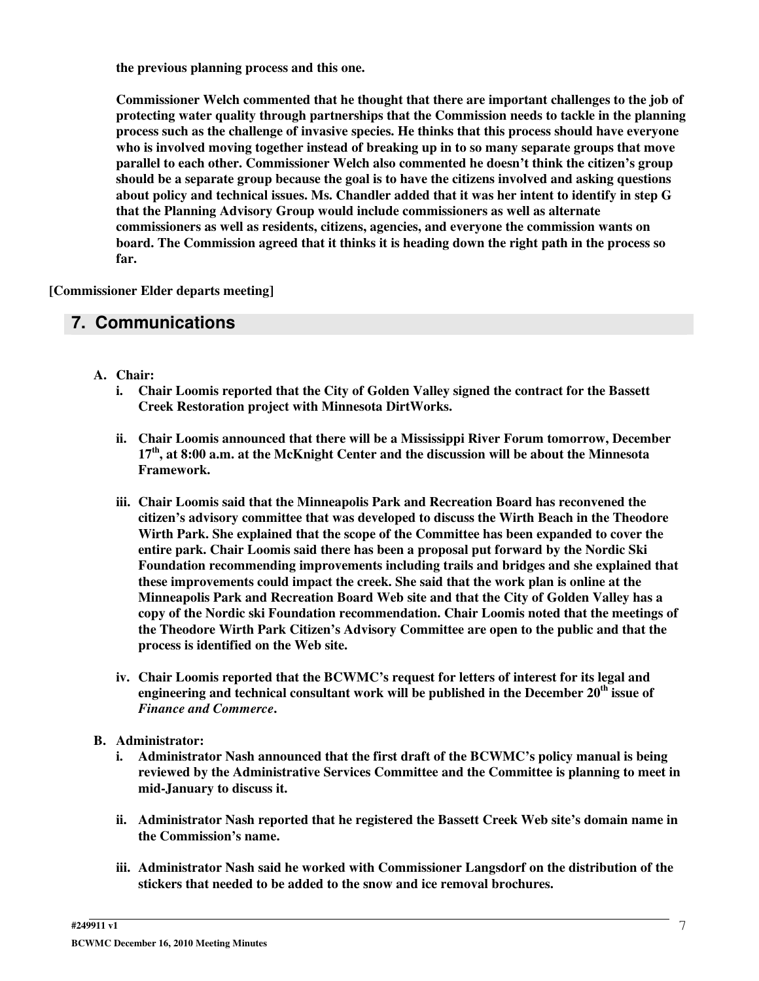**the previous planning process and this one.**

**Commissioner Welch commented that he thought that there are important challenges to the job of protecting water quality through partnerships that the Commission needs to tackle in the planning process such as the challenge of invasive species. He thinks that this process should have everyone who is involved moving together instead of breaking up in to so many separate groups that move parallel to each other. Commissioner Welch also commented he doesn't think the citizen's group should be a separate group because the goal is to have the citizens involved and asking questions about policy and technical issues. Ms. Chandler added that it was her intent to identify in step G that the Planning Advisory Group would include commissioners as well as alternate commissioners as well as residents, citizens, agencies, and everyone the commission wants on board. The Commission agreed that it thinks it is heading down the right path in the process so far.**

**[Commissioner Elder departs meeting]**

## **7. Communications**

- **A. Chair:**
	- **i. Chair Loomis reported that the City of Golden Valley signed the contract for the Bassett Creek Restoration project with Minnesota DirtWorks.**
	- **ii. Chair Loomis announced that there will be a Mississippi River Forum tomorrow, December 17 th , at 8:00 a.m. at the McKnight Center and the discussion will be about the Minnesota Framework.**
	- **iii. Chair Loomis said that the Minneapolis Park and Recreation Board has reconvened the citizen's advisory committee that was developed to discuss the Wirth Beach in the Theodore Wirth Park. She explained that the scope of the Committee has been expanded to cover the entire park. Chair Loomis said there has been a proposal put forward by the Nordic Ski Foundation recommending improvements including trails and bridges and she explained that these improvements could impact the creek. She said that the work plan is online at the Minneapolis Park and Recreation Board Web site and that the City of Golden Valley has a copy of the Nordic ski Foundation recommendation. Chair Loomis noted that the meetings of the Theodore Wirth Park Citizen's Advisory Committee are open to the public and that the process is identified on the Web site.**
	- **iv. Chair Loomis reported that the BCWMC's request for letters of interest for its legal and engineering and technical consultant work will be published in the December 20 th issue of** *Finance and Commerce***.**
- **B. Administrator:**
	- **i. Administrator Nash announced that the first draft of the BCWMC's policy manual is being reviewed by the Administrative Services Committee and the Committee is planning to meet in mid-January to discuss it.**
	- **ii. Administrator Nash reported that he registered the Bassett Creek Web site's domain name in the Commission's name.**
	- **iii. Administrator Nash said he worked with Commissioner Langsdorf on the distribution of the stickers that needed to be added to the snow and ice removal brochures.**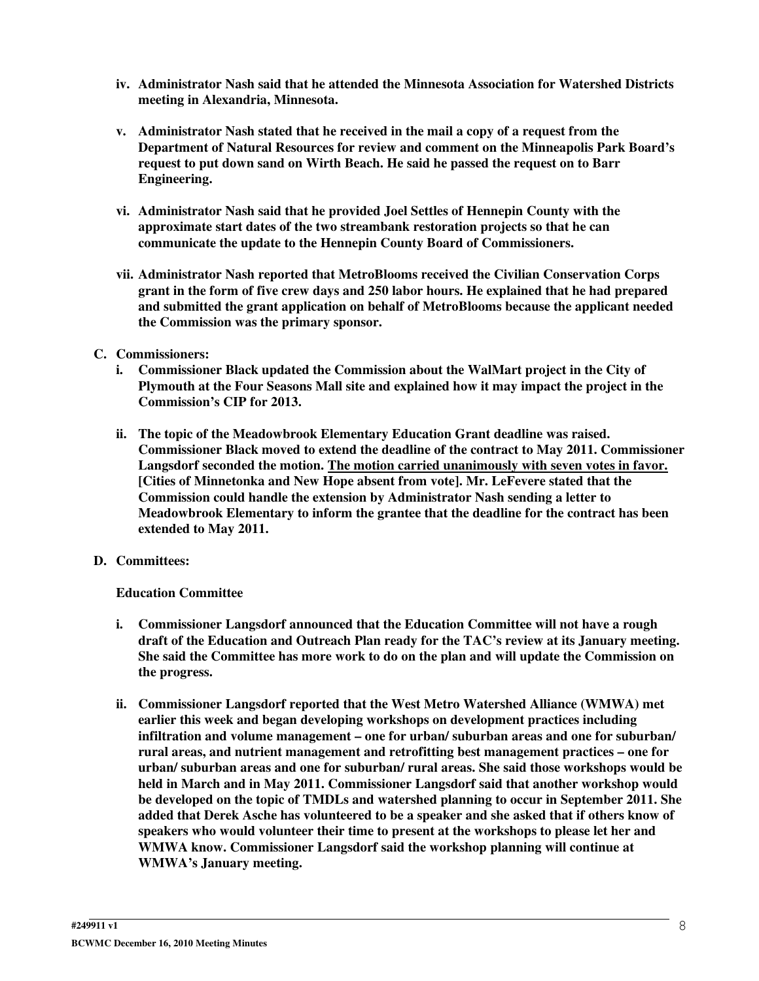- **iv. Administrator Nash said that he attended the Minnesota Association for Watershed Districts meeting in Alexandria, Minnesota.**
- **v. Administrator Nash stated that he received in the mail a copy of a request from the Department of Natural Resources for review and comment on the Minneapolis Park Board's request to put down sand on Wirth Beach. He said he passed the request on to Barr Engineering.**
- **vi. Administrator Nash said that he provided Joel Settles of Hennepin County with the approximate start dates of the two streambank restoration projects so that he can communicate the update to the Hennepin County Board of Commissioners.**
- **vii. Administrator Nash reported that MetroBlooms received the Civilian Conservation Corps grant in the form of five crew days and 250 labor hours. He explained that he had prepared and submitted the grant application on behalf of MetroBlooms because the applicant needed the Commission was the primary sponsor.**

#### **C. Commissioners:**

- **i. Commissioner Black updated the Commission about the WalMart project in the City of Plymouth at the Four Seasons Mall site and explained how it may impact the project in the Commission's CIP for 2013.**
- **ii. The topic of the Meadowbrook Elementary Education Grant deadline was raised. Commissioner Black moved to extend the deadline of the contract to May 2011. Commissioner Langsdorf seconded the motion. The motion carried unanimously with seven votes in favor. [Cities of Minnetonka and New Hope absent from vote]. Mr. LeFevere stated that the Commission could handle the extension by Administrator Nash sending a letter to Meadowbrook Elementary to inform the grantee that the deadline for the contract has been extended to May 2011.**

### **D. Committees:**

### **Education Committee**

- **i. Commissioner Langsdorf announced that the Education Committee will not have a rough draft of the Education and Outreach Plan ready for the TAC's review at its January meeting. She said the Committee has more work to do on the plan and will update the Commission on the progress.**
- **ii. Commissioner Langsdorf reported that the West Metro Watershed Alliance (WMWA) met earlier this week and began developing workshops on development practices including infiltration and volume management – one for urban/ suburban areas and one for suburban/ rural areas, and nutrient management and retrofitting best management practices – one for urban/ suburban areas and one for suburban/ rural areas. She said those workshops would be held in March and in May 2011. Commissioner Langsdorf said that another workshop would be developed on the topic of TMDLs and watershed planning to occur in September 2011. She added that Derek Asche has volunteered to be a speaker and she asked that if others know of speakers who would volunteer their time to present at the workshops to please let her and WMWA know. Commissioner Langsdorf said the workshop planning will continue at WMWA's January meeting.**